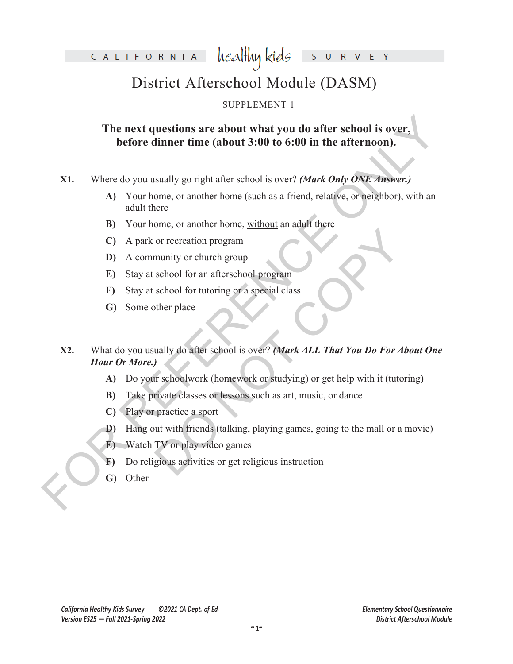healthy kids CALIFORNIA S  $\overline{R}$ 

## District Afterschool Module (DASM)

#### SUPPLEMENT 1

### **The next questions are about what you do after school is over, before dinner time (about 3:00 to 6:00 in the afternoon).**

**X1.** Where do you usually go right after school is over? *(Mark Only ONE Answer.)*

- **A)** Your home, or another home (such as a friend, relative, or neighbor), with an adult there
- **B)** Your home, or another home, without an adult there
- **C)** A park or recreation program
- **D)** A community or church group
- **E)** Stay at school for an afterschool program
- **F)** Stay at school for tutoring or a special class
- **G)** Some other place
- **The next questions are about what you do after school is over,**<br> **before dinner time (about 3:00 to 6:00 in the afternoon).**<br> **ST.**<br>
Where do you usually go right after school is over? (*Mark Only ONE Answer.*)<br>
A Your h or recreation program<br>
munity or church group<br>
school for an afterschool program<br>
school for tutoring or a special class<br>
other place<br>
wully do after school is over? (Mark ALL That You Do For Abe<br>
and You Do For Abe<br>
wully **X2.** What do you usually do after school is over? *(Mark ALL That You Do For About One Hour Or More.)*
	- **A)** Do your schoolwork (homework or studying) or get help with it (tutoring)
	- **B)** Take private classes or lessons such as art, music, or dance
	- **C)** Play or practice a sport
	- **D)** Hang out with friends (talking, playing games, going to the mall or a movie)
	- **E)** Watch TV or play video games
	- **F)** Do religious activities or get religious instruction
	- **G)** Other